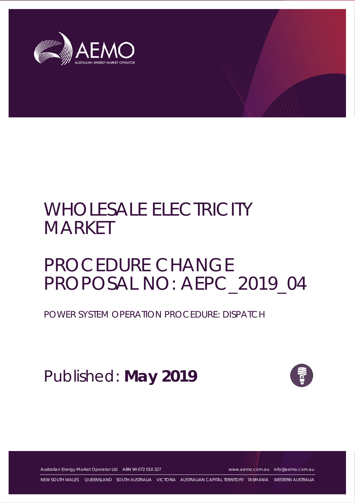

# WHOLESALE ELECTRICITY MARKET

# PROCEDURE CHANGE PROPOSAL NO: AEPC\_2019\_04

POWER SYSTEM OPERATION PROCEDURE: DISPATCH

Published: **May 2019**



Australian Energy Market Operator Ltd ABN 94 072 010 327 [www.aemo.com.au](http://www.aemo.com.au/) [info@aemo.com.au](mailto:info@aemo.com.au)

NEW SOUTH WALES QUEENSLAND SOUTH AUSTRALIA VICTORIA AUSTRALIAN CAPITAL TERRITORY TASMANIA WESTERN AUSTRALIA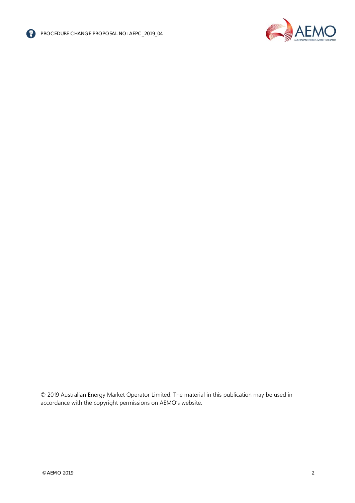



© 2019 Australian Energy Market Operator Limited. The material in this publication may be used in accordance with the copyright permissions on AEMO's website.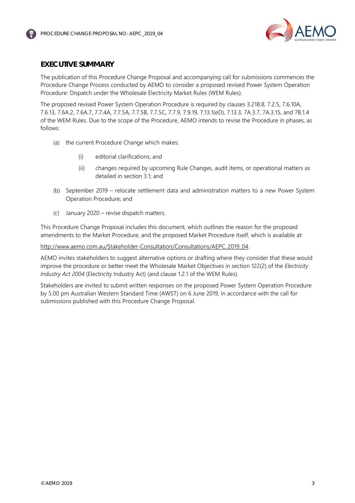

### <span id="page-2-0"></span>**EXECUTIVE SUMMARY**

The publication of this Procedure Change Proposal and accompanying call for submissions commences the Procedure Change Process conducted by AEMO to consider a proposed revised Power System Operation Procedure: Dispatch under the Wholesale Electricity Market Rules (WEM Rules).

The proposed revised Power System Operation Procedure is required by clauses 3.21B.8, 7.2.5, 7.6.10A, 7.6.13, 7.6A.2, 7.6A.7, 7.7.4A, 7.7.5A, 7.7.5B, 7.7.5C, 7.7.9, 7.9.19, 7.13.1(eD), 7.13.3, 7A.3.7, 7A.3.15, and 7B.1.4 of the WEM Rules. Due to the scope of the Procedure, AEMO intends to revise the Procedure in phases, as follows:

- (a) the current Procedure Change which makes:
	- (i) editorial clarifications; and
	- (ii) changes required by upcoming Rule Changes, audit items, or operational matters as detailed in section [3.1;](#page-10-0) and
- (b) September 2019 relocate settlement data and administration matters to a new Power System Operation Procedure; and
- (c) January 2020 revise dispatch matters.

This Procedure Change Proposal includes this document, which outlines the reason for the proposed amendments to the Market Procedure, and the proposed Market Procedure itself, which is available at:

[http://www.aemo.com.au/Stakeholder-Consultation/Consultations/AEPC\\_2019\\_04.](http://www.aemo.com.au/Stakeholder-Consultation/Consultations/AEPC_2019_04)

AEMO invites stakeholders to suggest alternative options or drafting where they consider that these would improve the procedure or better meet the Wholesale Market Objectives in section 122(2) of the *Electricity Industry Act 2004* (Electricity Industry Act) (and clause 1.2.1 of the WEM Rules).

Stakeholders are invited to submit written responses on the proposed Power System Operation Procedure by 5.00 pm Australian Western Standard Time (AWST) on 6 June 2019, in accordance with the call for submissions published with this Procedure Change Proposal.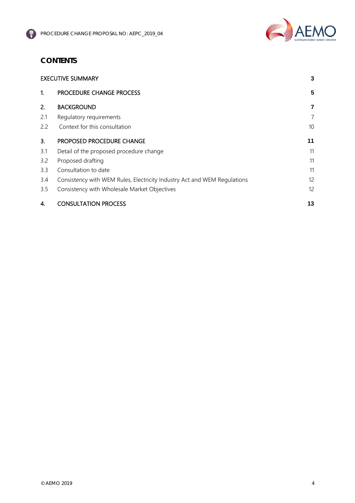

## **CONTENTS**

| <b>EXECUTIVE SUMMARY</b> |                                                                          | 3  |
|--------------------------|--------------------------------------------------------------------------|----|
| 1.                       | PROCEDURE CHANGE PROCESS                                                 | 5  |
| 2.                       | <b>BACKGROUND</b>                                                        | 7  |
| 2.1                      | Regulatory requirements                                                  | 7  |
| 2.2                      | Context for this consultation                                            | 10 |
| 3.                       | PROPOSED PROCEDURE CHANGE                                                | 11 |
| 3.1                      | Detail of the proposed procedure change                                  | 11 |
| 3.2                      | Proposed drafting                                                        | 11 |
| 3.3                      | Consultation to date                                                     | 11 |
| 3.4                      | Consistency with WEM Rules, Electricity Industry Act and WEM Regulations | 12 |
| 3.5                      | Consistency with Wholesale Market Objectives                             | 12 |
| 4.                       | <b>CONSULTATION PROCESS</b>                                              | 13 |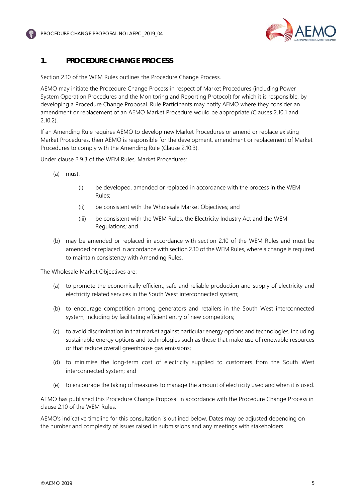



## <span id="page-4-0"></span>**1. PROCEDURE CHANGE PROCESS**

Section 2.10 of the WEM Rules outlines the Procedure Change Process.

AEMO may initiate the Procedure Change Process in respect of Market Procedures (including Power System Operation Procedures and the Monitoring and Reporting Protocol) for which it is responsible, by developing a Procedure Change Proposal. Rule Participants may notify AEMO where they consider an amendment or replacement of an AEMO Market Procedure would be appropriate (Clauses 2.10.1 and 2.10.2).

If an Amending Rule requires AEMO to develop new Market Procedures or amend or replace existing Market Procedures, then AEMO is responsible for the development, amendment or replacement of Market Procedures to comply with the Amending Rule (Clause 2.10.3).

Under clause 2.9.3 of the WEM Rules, Market Procedures:

- (a) must:
	- (i) be developed, amended or replaced in accordance with the process in the WEM Rules;
	- (ii) be consistent with the Wholesale Market Objectives; and
	- (iii) be consistent with the WEM Rules, the Electricity Industry Act and the WEM Regulations; and
- (b) may be amended or replaced in accordance with section 2.10 of the WEM Rules and must be amended or replaced in accordance with section 2.10 of the WEM Rules, where a change is required to maintain consistency with Amending Rules.

The Wholesale Market Objectives are:

- (a) to promote the economically efficient, safe and reliable production and supply of electricity and electricity related services in the South West interconnected system;
- (b) to encourage competition among generators and retailers in the South West interconnected system, including by facilitating efficient entry of new competitors;
- (c) to avoid discrimination in that market against particular energy options and technologies, including sustainable energy options and technologies such as those that make use of renewable resources or that reduce overall greenhouse gas emissions;
- (d) to minimise the long-term cost of electricity supplied to customers from the South West interconnected system; and
- (e) to encourage the taking of measures to manage the amount of electricity used and when it is used.

AEMO has published this Procedure Change Proposal in accordance with the Procedure Change Process in clause 2.10 of the WEM Rules.

AEMO's indicative timeline for this consultation is outlined below. Dates may be adjusted depending on the number and complexity of issues raised in submissions and any meetings with stakeholders.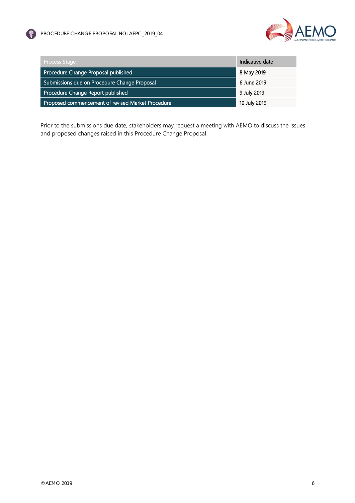



| <b>Process Stage</b>                              | Indicative date |
|---------------------------------------------------|-----------------|
| Procedure Change Proposal published               | 8 May 2019      |
| Submissions due on Procedure Change Proposal      | 6 June 2019     |
| Procedure Change Report published                 | 9 July 2019     |
| Proposed commencement of revised Market Procedure | 10 July 2019    |

Prior to the submissions due date, stakeholders may request a meeting with AEMO to discuss the issues and proposed changes raised in this Procedure Change Proposal.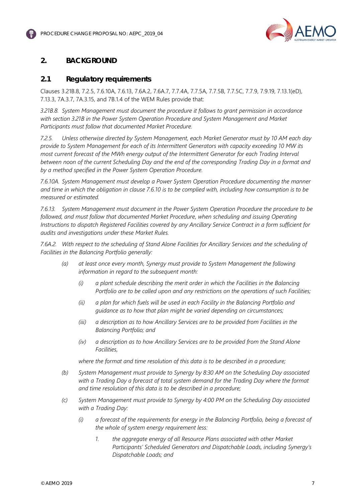

## <span id="page-6-0"></span>**2. BACKGROUND**

#### <span id="page-6-1"></span>**2.1 Regulatory requirements**

Clauses 3.21B.8, 7.2.5, 7.6.10A, 7.6.13, 7.6A.2, 7.6A.7, 7.7.4A, 7.7.5A, 7.7.5B, 7.7.5C, 7.7.9, 7.9.19, 7.13.1(eD), 7.13.3, 7A.3.7, 7A.3.15, and 7B.1.4 of the WEM Rules provide that:

*3.21B.8. System Management must document the procedure it follows to grant permission in accordance with section 3.21B in the Power System Operation Procedure and System Management and Market Participants must follow that documented Market Procedure.*

*7.2.5. Unless otherwise directed by System Management, each Market Generator must by 10 AM each day provide to System Management for each of its Intermittent Generators with capacity exceeding 10 MW its most current forecast of the MWh energy output of the Intermittent Generator for each Trading Interval between noon of the current Scheduling Day and the end of the corresponding Trading Day in a format and by a method specified in the Power System Operation Procedure.*

*7.6.10A. System Management must develop a Power System Operation Procedure documenting the manner and time in which the obligation in clause 7.6.10 is to be complied with, including how consumption is to be measured or estimated.*

*7.6.13. System Management must document in the Power System Operation Procedure the procedure to be*  followed, and must follow that documented Market Procedure, when scheduling and issuing Operating *Instructions to dispatch Registered Facilities covered by any Ancillary Service Contract in a form sufficient for audits and investigations under these Market Rules.*

*7.6A.2. With respect to the scheduling of Stand Alone Facilities for Ancillary Services and the scheduling of Facilities in the Balancing Portfolio generally:*

- *(a) at least once every month, Synergy must provide to System Management the following information in regard to the subsequent month:*
	- *(i) a plant schedule describing the merit order in which the Facilities in the Balancing Portfolio are to be called upon and any restrictions on the operations of such Facilities;*
	- *(ii) a plan for which fuels will be used in each Facility in the Balancing Portfolio and guidance as to how that plan might be varied depending on circumstances;*
	- *(iii) a description as to how Ancillary Services are to be provided from Facilities in the Balancing Portfolio; and*
	- *(iv) a description as to how Ancillary Services are to be provided from the Stand Alone Facilities,*

*where the format and time resolution of this data is to be described in a procedure;*

- *(b) System Management must provide to Synergy by 8:30 AM on the Scheduling Day associated with a Trading Day a forecast of total system demand for the Trading Day where the format and time resolution of this data is to be described in a procedure;*
- *(c) System Management must provide to Synergy by 4:00 PM on the Scheduling Day associated with a Trading Day:* 
	- *(i) a forecast of the requirements for energy in the Balancing Portfolio, being a forecast of the whole of system energy requirement less:*
		- *1. the aggregate energy of all Resource Plans associated with other Market Participants' Scheduled Generators and Dispatchable Loads, including Synergy's Dispatchable Loads; and*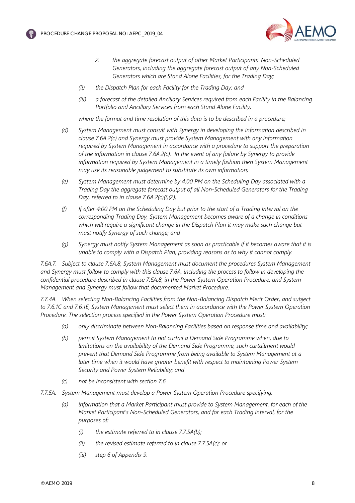

- *2. the aggregate forecast output of other Market Participants' Non-Scheduled Generators, including the aggregate forecast output of any Non-Scheduled Generators which are Stand Alone Facilities, for the Trading Day;*
- *(ii) the Dispatch Plan for each Facility for the Trading Day; and*
- *(iii) a forecast of the detailed Ancillary Services required from each Facility in the Balancing Portfolio and Ancillary Services from each Stand Alone Facility,*

*where the format and time resolution of this data is to be described in a procedure;*

- *(d) System Management must consult with Synergy in developing the information described in clause 7.6A.2(c) and Synergy must provide System Management with any information required by System Management in accordance with a procedure to support the preparation of the information in clause 7.6A.2(c). In the event of any failure by Synergy to provide information required by System Management in a timely fashion then System Management may use its reasonable judgement to substitute its own information;*
- *(e) System Management must determine by 4:00 PM on the Scheduling Day associated with a Trading Day the aggregate forecast output of all Non-Scheduled Generators for the Trading Day, referred to in clause 7.6A.2(c)(i)(2);*
- *(f) If after 4:00 PM on the Scheduling Day but prior to the start of a Trading Interval on the corresponding Trading Day, System Management becomes aware of a change in conditions which will require a significant change in the Dispatch Plan it may make such change but must notify Synergy of such change; and*
- *(g) Synergy must notify System Management as soon as practicable if it becomes aware that it is unable to comply with a Dispatch Plan, providing reasons as to why it cannot comply.*

*7.6A.7. Subject to clause 7.6A.8, System Management must document the procedures System Management and Synergy must follow to comply with this clause 7.6A, including the process to follow in developing the confidential procedure described in clause 7.6A.8, in the Power System Operation Procedure, and System Management and Synergy must follow that documented Market Procedure.*

*7.7.4A. When selecting Non-Balancing Facilities from the Non-Balancing Dispatch Merit Order, and subject to 7.6.1C and 7.6.1E, System Management must select them in accordance with the Power System Operation Procedure. The selection process specified in the Power System Operation Procedure must:*

- *(a) only discriminate between Non-Balancing Facilities based on response time and availability;*
- *(b) permit System Management to not curtail a Demand Side Programme when, due to limitations on the availability of the Demand Side Programme, such curtailment would prevent that Demand Side Programme from being available to System Management at a later time when it would have greater benefit with respect to maintaining Power System Security and Power System Reliability; and*
- *(c) not be inconsistent with section 7.6.*
- *7.7.5A. System Management must develop a Power System Operation Procedure specifying:*
	- *(a) information that a Market Participant must provide to System Management, for each of the Market Participant's Non-Scheduled Generators, and for each Trading Interval, for the purposes of:*
		- *(i) the estimate referred to in clause 7.7.5A(b);*
		- *(ii) the revised estimate referred to in clause 7.7.5A(c); or*
		- *(iii) step 6 of Appendix 9.*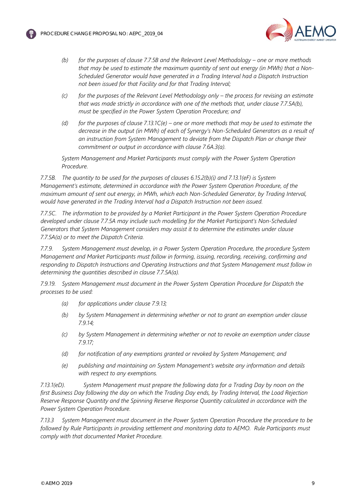



- *(b) for the purposes of clause 7.7.5B and the Relevant Level Methodology – one or more methods that may be used to estimate the maximum quantity of sent out energy (in MWh) that a Non-Scheduled Generator would have generated in a Trading Interval had a Dispatch Instruction not been issued for that Facility and for that Trading Interval;*
- *(c) for the purposes of the Relevant Level Methodology only – the process for revising an estimate that was made strictly in accordance with one of the methods that, under clause 7.7.5A(b), must be specified in the Power System Operation Procedure; and*
- *(d) for the purposes of clause 7.13.1C(e) – one or more methods that may be used to estimate the decrease in the output (in MWh) of each of Synergy's Non-Scheduled Generators as a result of an instruction from System Management to deviate from the Dispatch Plan or change their commitment or output in accordance with clause 7.6A.3(a).*

*System Management and Market Participants must comply with the Power System Operation Procedure.*

*7.7.5B. The quantity to be used for the purposes of clauses 6.15.2(b)(i) and 7.13.1(eF) is System Management's estimate, determined in accordance with the Power System Operation Procedure, of the maximum amount of sent out energy, in MWh, which each Non-Scheduled Generator, by Trading Interval, would have generated in the Trading Interval had a Dispatch Instruction not been issued.*

*7.7.5C. The information to be provided by a Market Participant in the Power System Operation Procedure developed under clause 7.7.5A may include such modelling for the Market Participant's Non-Scheduled Generators that System Management considers may assist it to determine the estimates under clause 7.7.5A(a) or to meet the Dispatch Criteria.*

*7.7.9. System Management must develop, in a Power System Operation Procedure, the procedure System Management and Market Participants must follow in forming, issuing, recording, receiving, confirming and responding to Dispatch Instructions and Operating Instructions and that System Management must follow in determining the quantities described in clause 7.7.5A(a).*

*7.9.19. System Management must document in the Power System Operation Procedure for Dispatch the processes to be used:*

- *(a) for applications under clause 7.9.13;*
- *(b) by System Management in determining whether or not to grant an exemption under clause 7.9.14;*
- *(c) by System Management in determining whether or not to revoke an exemption under clause 7.9.17;*
- *(d) for notification of any exemptions granted or revoked by System Management; and*
- *(e) publishing and maintaining on System Management's website any information and details with respect to any exemptions.*

*7.13.1(eD). System Management must prepare the following data for a Trading Day by noon on the first Business Day following the day on which the Trading Day ends, by Trading Interval, the Load Rejection Reserve Response Quantity and the Spinning Reserve Response Quantity calculated in accordance with the Power System Operation Procedure.*

*7.13.3 System Management must document in the Power System Operation Procedure the procedure to be followed by Rule Participants in providing settlement and monitoring data to AEMO. Rule Participants must comply with that documented Market Procedure.*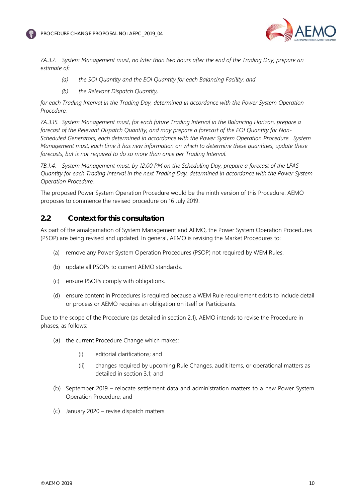



*7A.3.7. System Management must, no later than two hours after the end of the Trading Day, prepare an estimate of:*

- *(a) the SOI Quantity and the EOI Quantity for each Balancing Facility; and*
- *(b) the Relevant Dispatch Quantity,*

*for each Trading Interval in the Trading Day, determined in accordance with the Power System Operation Procedure.*

*7A.3.15. System Management must, for each future Trading Interval in the Balancing Horizon, prepare a forecast of the Relevant Dispatch Quantity, and may prepare a forecast of the EOI Quantity for Non-Scheduled Generators, each determined in accordance with the Power System Operation Procedure. System Management must, each time it has new information on which to determine these quantities, update these forecasts, but is not required to do so more than once per Trading Interval.*

*7B.1.4. System Management must, by 12:00 PM on the Scheduling Day, prepare a forecast of the LFAS Quantity for each Trading Interval in the next Trading Day, determined in accordance with the Power System Operation Procedure.*

The proposed Power System Operation Procedure would be the ninth version of this Procedure. AEMO proposes to commence the revised procedure on 16 July 2019.

#### <span id="page-9-0"></span>**2.2 Context for this consultation**

As part of the amalgamation of System Management and AEMO, the Power System Operation Procedures (PSOP) are being revised and updated. In general, AEMO is revising the Market Procedures to:

- (a) remove any Power System Operation Procedures (PSOP) not required by WEM Rules.
- (b) update all PSOPs to current AEMO standards.
- (c) ensure PSOPs comply with obligations.
- (d) ensure content in Procedures is required because a WEM Rule requirement exists to include detail or process or AEMO requires an obligation on itself or Participants.

Due to the scope of the Procedure (as detailed in section [2.1\)](#page-6-1), AEMO intends to revise the Procedure in phases, as follows:

- (a) the current Procedure Change which makes:
	- (i) editorial clarifications; and
	- (ii) changes required by upcoming Rule Changes, audit items, or operational matters as detailed in section [3.1;](#page-10-0) and
- (b) September 2019 relocate settlement data and administration matters to a new Power System Operation Procedure; and
- (c) January 2020 revise dispatch matters.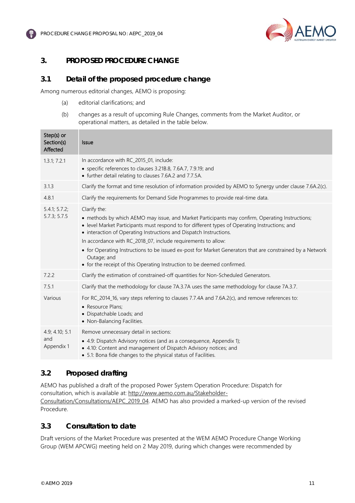



## <span id="page-10-1"></span>**3. PROPOSED PROCEDURE CHANGE**

#### <span id="page-10-0"></span>**3.1 Detail of the proposed procedure change**

Among numerous editorial changes, AEMO is proposing:

- (a) editorial clarifications; and
- (b) changes as a result of upcoming Rule Changes, comments from the Market Auditor, or operational matters, as detailed in the table below.

| Step(s) or<br>Section(s)<br>Affected | <b>Issue</b>                                                                                                                                                                                                                                                                                                                                                                                                                                                                                                                                                    |
|--------------------------------------|-----------------------------------------------------------------------------------------------------------------------------------------------------------------------------------------------------------------------------------------------------------------------------------------------------------------------------------------------------------------------------------------------------------------------------------------------------------------------------------------------------------------------------------------------------------------|
| 1.3.1; 7.2.1                         | In accordance with RC_2015_01, include:<br>• specific references to clauses 3.21B.8, 7.6A.7, 7.9.19; and<br>• further detail relating to clauses 7.6A.2 and 7.7.5A.                                                                                                                                                                                                                                                                                                                                                                                             |
| 3.1.3                                | Clarify the format and time resolution of information provided by AEMO to Synergy under clause 7.6A.2(c).                                                                                                                                                                                                                                                                                                                                                                                                                                                       |
| 4.8.1                                | Clarify the requirements for Demand Side Programmes to provide real-time data.                                                                                                                                                                                                                                                                                                                                                                                                                                                                                  |
| 5.4.1; 5.7.2;<br>5.7.3; 5.7.5        | Clarify the:<br>• methods by which AEMO may issue, and Market Participants may confirm, Operating Instructions;<br>• level Market Participants must respond to for different types of Operating Instructions; and<br>• interaction of Operating Instructions and Dispatch Instructions.<br>In accordance with RC_2018_07, include requirements to allow:<br>• for Operating Instructions to be issued ex-post for Market Generators that are constrained by a Network<br>Outage; and<br>• for the receipt of this Operating Instruction to be deemed confirmed. |
| 7.2.2                                | Clarify the estimation of constrained-off quantities for Non-Scheduled Generators.                                                                                                                                                                                                                                                                                                                                                                                                                                                                              |
| 7.5.1                                | Clarify that the methodology for clause 7A.3.7A uses the same methodology for clause 7A.3.7.                                                                                                                                                                                                                                                                                                                                                                                                                                                                    |
| Various                              | For RC_2014_16, vary steps referring to clauses 7.7.4A and 7.6A.2(c), and remove references to:<br>• Resource Plans;<br>• Dispatchable Loads; and<br>• Non-Balancing Facilities.                                                                                                                                                                                                                                                                                                                                                                                |
| 4.9; 4.10; 5.1<br>and<br>Appendix 1  | Remove unnecessary detail in sections:<br>• 4.9: Dispatch Advisory notices (and as a consequence, Appendix 1);<br>• 4.10: Content and management of Dispatch Advisory notices; and<br>• 5.1: Bona fide changes to the physical status of Facilities.                                                                                                                                                                                                                                                                                                            |

### <span id="page-10-2"></span>**3.2 Proposed drafting**

AEMO has published a draft of the proposed Power System Operation Procedure: Dispatch for consultation, which is available at: [http://www.aemo.com.au/Stakeholder-](http://www.aemo.com.au/Stakeholder-Consultation/Consultations/AEPC_2019_04)[Consultation/Consultations/AEPC\\_2019\\_04.](http://www.aemo.com.au/Stakeholder-Consultation/Consultations/AEPC_2019_04) AEMO has also provided a marked-up version of the revised Procedure.

#### <span id="page-10-3"></span>**3.3 Consultation to date**

Draft versions of the Market Procedure was presented at the WEM AEMO Procedure Change Working Group (WEM APCWG) meeting held on 2 May 2019, during which changes were recommended by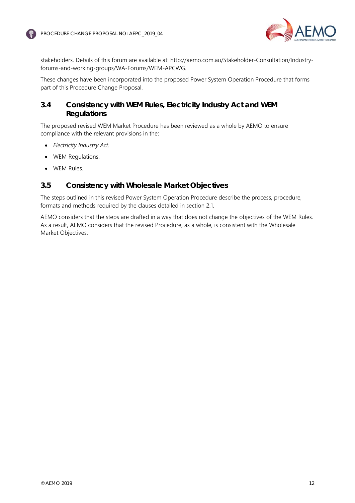

stakeholders. Details of this forum are available at: [http://aemo.com.au/Stakeholder-Consultation/Industry](http://aemo.com.au/Stakeholder-Consultation/Industry-forums-and-working-groups/WA-Forums/WEM-APCWG)[forums-and-working-groups/WA-Forums/WEM-APCWG.](http://aemo.com.au/Stakeholder-Consultation/Industry-forums-and-working-groups/WA-Forums/WEM-APCWG)

These changes have been incorporated into the proposed Power System Operation Procedure that forms part of this Procedure Change Proposal.

### <span id="page-11-0"></span>**3.4 Consistency with WEM Rules, Electricity Industry Act and WEM Regulations**

The proposed revised WEM Market Procedure has been reviewed as a whole by AEMO to ensure compliance with the relevant provisions in the:

- *Electricity Industry Act*.
- WEM Regulations.
- WEM Rules.

#### <span id="page-11-1"></span>**3.5 Consistency with Wholesale Market Objectives**

The steps outlined in this revised Power System Operation Procedure describe the process, procedure, formats and methods required by the clauses detailed in section [2.1.](#page-6-1)

AEMO considers that the steps are drafted in a way that does not change the objectives of the WEM Rules. As a result, AEMO considers that the revised Procedure, as a whole, is consistent with the Wholesale Market Objectives.